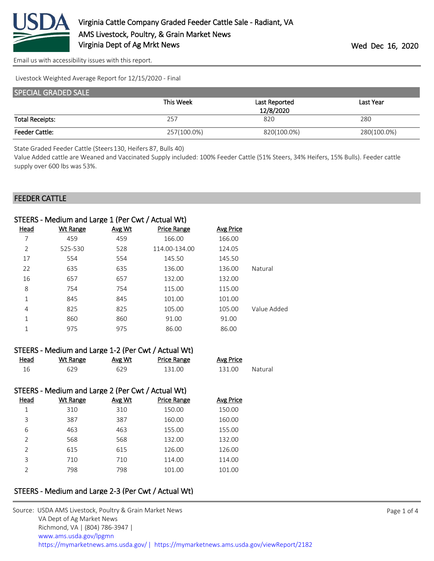

Livestock Weighted Average Report for 12/15/2020 - Final

| <b>SPECIAL GRADED SALE</b> |             |               |             |  |  |
|----------------------------|-------------|---------------|-------------|--|--|
|                            | This Week   | Last Reported | Last Year   |  |  |
|                            |             | 12/8/2020     |             |  |  |
| <b>Total Receipts:</b>     | 257         | 820           | 280         |  |  |
| <b>Feeder Cattle:</b>      | 257(100.0%) | 820(100.0%)   | 280(100.0%) |  |  |

State Graded Feeder Cattle (Steers 130, Heifers 87, Bulls 40)

Value Added cattle are Weaned and Vaccinated Supply included: 100% Feeder Cattle (51% Steers, 34% Heifers, 15% Bulls). Feeder cattle supply over 600 lbs was 53%.

#### FEEDER CATTLE

|                | STEERS - Medium and Large 1 (Per Cwt / Actual Wt) |        |                    |                  |             |
|----------------|---------------------------------------------------|--------|--------------------|------------------|-------------|
| <b>Head</b>    | <b>Wt Range</b>                                   | Avg Wt | <b>Price Range</b> | <b>Avg Price</b> |             |
| 7              | 459                                               | 459    | 166.00             | 166.00           |             |
| $\overline{2}$ | 525-530                                           | 528    | 114.00-134.00      | 124.05           |             |
| 17             | 554                                               | 554    | 145.50             | 145.50           |             |
| 22             | 635                                               | 635    | 136.00             | 136.00           | Natural     |
| 16             | 657                                               | 657    | 132.00             | 132.00           |             |
| 8              | 754                                               | 754    | 115.00             | 115.00           |             |
| 1              | 845                                               | 845    | 101.00             | 101.00           |             |
| 4              | 825                                               | 825    | 105.00             | 105.00           | Value Added |
| 1              | 860                                               | 860    | 91.00              | 91.00            |             |
| 1              | 975                                               | 975    | 86.00              | 86.00            |             |
|                |                                                   |        |                    |                  |             |

|             | STEERS - Medium and Large 1-2 (Per Cwt / Actual Wt) |        |                    |           |         |
|-------------|-----------------------------------------------------|--------|--------------------|-----------|---------|
| <u>Head</u> | Wt Range                                            | Avg Wt | <b>Price Range</b> | Avg Price |         |
| 16          | 629                                                 | 629    | 131.00             | 131.00    | Natural |

### STEERS - Medium and Large 2 (Per Cwt / Actual Wt)

| Head          | <b>Wt Range</b> | Avg Wt | <b>Price Range</b> | Avg Price |
|---------------|-----------------|--------|--------------------|-----------|
| 1             | 310             | 310    | 150.00             | 150.00    |
| 3             | 387             | 387    | 160.00             | 160.00    |
| 6             | 463             | 463    | 155.00             | 155.00    |
| $\mathcal{P}$ | 568             | 568    | 132.00             | 132.00    |
| $\mathcal{P}$ | 615             | 615    | 126.00             | 126.00    |
| 3             | 710             | 710    | 114.00             | 114.00    |
| ำ             | 798             | 798    | 101.00             | 101.00    |

## STEERS - Medium and Large 2-3 (Per Cwt / Actual Wt)

| Source: USDA AMS Livestock, Poultry & Grain Market News                                |
|----------------------------------------------------------------------------------------|
| VA Dept of Ag Market News                                                              |
| Richmond, VA   (804) 786-3947                                                          |
| www.ams.usda.gov/lpgmn                                                                 |
| https://mymarketnews.ams.usda.gov/   https://mymarketnews.ams.usda.gov/viewReport/2182 |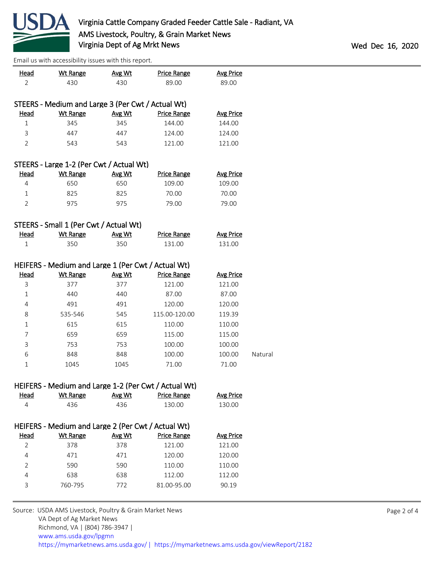

| <b>Head</b>    | ian as with accessibility issues with this report.<br><b>Wt Range</b> | Avg Wt | <b>Price Range</b>                                   | <b>Avg Price</b> |         |
|----------------|-----------------------------------------------------------------------|--------|------------------------------------------------------|------------------|---------|
| $\overline{2}$ | 430                                                                   | 430    | 89.00                                                | 89.00            |         |
|                |                                                                       |        |                                                      |                  |         |
|                | STEERS - Medium and Large 3 (Per Cwt / Actual Wt)                     |        |                                                      |                  |         |
| <b>Head</b>    | <b>Wt Range</b>                                                       | Avg Wt | <b>Price Range</b>                                   | <b>Avg Price</b> |         |
| $\mathbf 1$    | 345                                                                   | 345    | 144.00                                               | 144.00           |         |
| 3              | 447                                                                   | 447    | 124.00                                               | 124.00           |         |
| $\overline{2}$ | 543                                                                   | 543    | 121.00                                               | 121.00           |         |
|                |                                                                       |        |                                                      |                  |         |
|                | STEERS - Large 1-2 (Per Cwt / Actual Wt)                              |        |                                                      |                  |         |
| <b>Head</b>    | <b>Wt Range</b>                                                       | Avg Wt | <b>Price Range</b>                                   | <b>Avg Price</b> |         |
| 4              | 650                                                                   | 650    | 109.00                                               | 109.00           |         |
| $\mathbf{1}$   | 825                                                                   | 825    | 70.00                                                | 70.00            |         |
| $\overline{2}$ | 975                                                                   | 975    | 79.00                                                | 79.00            |         |
|                |                                                                       |        |                                                      |                  |         |
|                | STEERS - Small 1 (Per Cwt / Actual Wt)                                |        |                                                      |                  |         |
| <b>Head</b>    | <b>Wt Range</b>                                                       | Avg Wt | <b>Price Range</b>                                   | <b>Avg Price</b> |         |
| $\mathbf{1}$   | 350                                                                   | 350    | 131.00                                               | 131.00           |         |
|                |                                                                       |        |                                                      |                  |         |
|                | HEIFERS - Medium and Large 1 (Per Cwt / Actual Wt)                    |        |                                                      |                  |         |
| <b>Head</b>    | <b>Wt Range</b>                                                       | Avg Wt | <b>Price Range</b>                                   | <b>Avg Price</b> |         |
| 3              | 377                                                                   | 377    | 121.00                                               | 121.00           |         |
| $\mathbf 1$    | 440                                                                   | 440    | 87.00                                                | 87.00            |         |
| 4              | 491                                                                   | 491    | 120.00                                               | 120.00           |         |
| 8              | 535-546                                                               | 545    | 115.00-120.00                                        | 119.39           |         |
| 1              | 615                                                                   | 615    | 110.00                                               | 110.00           |         |
| 7              | 659                                                                   | 659    | 115.00                                               | 115.00           |         |
| 3              | 753                                                                   | 753    | 100.00                                               | 100.00           |         |
| 6              | 848                                                                   | 848    | 100.00                                               | 100.00           | Natural |
| $\mathbf 1$    | 1045                                                                  | 1045   | 71.00                                                | 71.00            |         |
|                |                                                                       |        |                                                      |                  |         |
|                |                                                                       |        | HEIFERS - Medium and Large 1-2 (Per Cwt / Actual Wt) |                  |         |
| <b>Head</b>    | <b>Wt Range</b>                                                       | Avg Wt | <b>Price Range</b>                                   | <b>Avg Price</b> |         |
| 4              | 436                                                                   | 436    | 130.00                                               | 130.00           |         |
|                |                                                                       |        |                                                      |                  |         |
|                |                                                                       |        |                                                      |                  |         |
| <u>Head</u>    | HEIFERS - Medium and Large 2 (Per Cwt / Actual Wt)<br><b>Wt Range</b> | Avg Wt | <b>Price Range</b>                                   | <b>Avg Price</b> |         |
| 2              | 378                                                                   | 378    | 121.00                                               | 121.00           |         |
| 4              | 471                                                                   | 471    | 120.00                                               | 120.00           |         |
| 2              | 590                                                                   | 590    | 110.00                                               | 110.00           |         |
|                |                                                                       |        |                                                      |                  |         |
| 4              | 638                                                                   | 638    | 112.00                                               | 112.00           |         |
| 3              | 760-795                                                               | 772    | 81.00-95.00                                          | 90.19            |         |
|                |                                                                       |        |                                                      |                  |         |
|                | Source: USDA AMS Livestock, Poultry & Grain Market News               |        |                                                      |                  |         |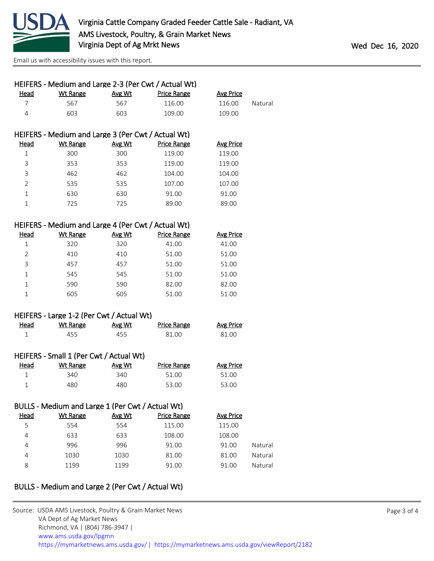

| HEIFERS - Medium and Large 2-3 (Per Cwt / Actual Wt) |          |        |             |           |         |
|------------------------------------------------------|----------|--------|-------------|-----------|---------|
| Head                                                 | Wt Range | Avg Wt | Price Range | Avg Price |         |
|                                                      | 567      | 567    | 116.00      | 116.00    | Natural |
| Δ                                                    | 603      | 603    | 109.00      | 109.00    |         |

# HEIFERS - Medium and Large 3 (Per Cwt / Actual Wt)

| Head           | Wt Range | Avg Wt | <b>Price Range</b> | <b>Avg Price</b> |
|----------------|----------|--------|--------------------|------------------|
|                | 300      | 300    | 119.00             | 119.00           |
| 3              | 353      | 353    | 119.00             | 119.00           |
| 3              | 462      | 462    | 104.00             | 104.00           |
| $\overline{2}$ | 535      | 535    | 107.00             | 107.00           |
|                | 630      | 630    | 91.00              | 91.00            |
|                | 725      | 725    | 89.00              | 89.00            |

### HEIFERS - Medium and Large 4 (Per Cwt / Actual Wt)

| Head          | Wt Range | Avg Wt | <b>Price Range</b> | <b>Avg Price</b> |
|---------------|----------|--------|--------------------|------------------|
|               | 320      | 320    | 41.00              | 41.00            |
| $\mathcal{P}$ | 410      | 410    | 51.00              | 51.00            |
| 3             | 457      | 457    | 51.00              | 51.00            |
|               | 545      | 545    | 51.00              | 51.00            |
| 1             | 590      | 590    | 82.00              | 82.00            |
|               | 605      | 605    | 51.00              | 51.00            |

#### HEIFERS - Large 1-2 (Per Cwt / Actual Wt)

| Head | <u>Wt Range</u> | <u>Avg Wt</u> | <b>Price Range</b> | <b>Avg Price</b> |
|------|-----------------|---------------|--------------------|------------------|
|      | 455             | 455           | 81.00              | 81.00            |

### HEIFERS - Small 1 (Per Cwt / Actual Wt)

| <u>Head</u> | Wt Range | Avg Wt | Price Range | Avg Price |
|-------------|----------|--------|-------------|-----------|
|             | 340.     | 340    | 51.00       | 51.00     |
|             | 480      | 480    | 53.00       | 53.00     |

## BULLS - Medium and Large 1 (Per Cwt / Actual Wt)

| Head | Wt Range | Avg Wt | <b>Price Range</b> | <b>Avg Price</b> |         |
|------|----------|--------|--------------------|------------------|---------|
| 5    | 554      | 554    | 115.00             | 115.00           |         |
| 4    | 633      | 633    | 108.00             | 108.00           |         |
| 4    | 996      | 996    | 91.00              | 91.00            | Natural |
| 4    | 1030     | 1030   | 81.00              | 81.00            | Natural |
| 8    | 1199     | 1199   | 91.00              | 91.00            | Natural |

## BULLS - Medium and Large 2 (Per Cwt / Actual Wt)

| Source: USDA AMS Livestock, Poultry & Grain Market News                                |
|----------------------------------------------------------------------------------------|
| VA Dept of Ag Market News                                                              |
| Richmond, VA   (804) 786-3947                                                          |
| www.ams.usda.gov/lpgmn                                                                 |
| https://mymarketnews.ams.usda.gov/   https://mymarketnews.ams.usda.gov/viewReport/2182 |